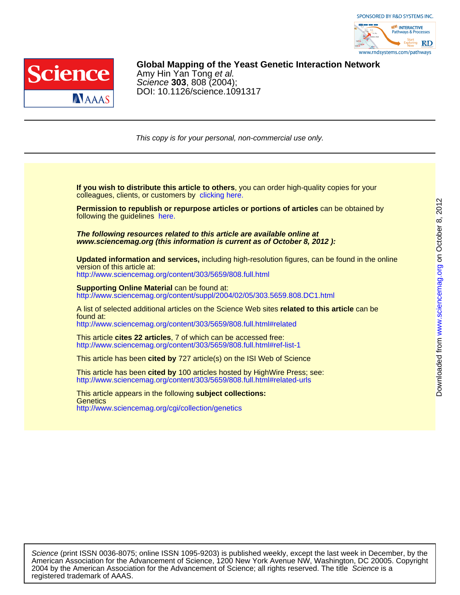



# DOI: 10.1126/science.1091317 Science **303**, 808 (2004); Amy Hin Yan Tong et al. **Global Mapping of the Yeast Genetic Interaction Network**

This copy is for your personal, non-commercial use only.

colleagues, clients, or customers by [clicking here.](http://www.sciencemag.org/about/permissions.dtl) **If you wish to distribute this article to others**, you can order high-quality copies for your

following the guidelines [here.](http://www.sciencemag.org/about/permissions.dtl) **Permission to republish or repurpose articles or portions of articles** can be obtained by

**www.sciencemag.org (this information is current as of October 8, 2012 ): The following resources related to this article are available online at**

version of this article at: **Updated information and services,** including high-resolution figures, can be found in the online

<http://www.sciencemag.org/content/303/5659/808.full.html>

http://www.sciencemag.org/content/suppl/2004/02/05/303.5659.808.DC1.html **Supporting Online Material can be found at:** 

<http://www.sciencemag.org/content/303/5659/808.full.html#related> found at: A list of selected additional articles on the Science Web sites **related to this article** can be

<http://www.sciencemag.org/content/303/5659/808.full.html#ref-list-1> This article **cites 22 articles**, 7 of which can be accessed free:

This article has been **cited by** 727 article(s) on the ISI Web of Science

<http://www.sciencemag.org/content/303/5659/808.full.html#related-urls> This article has been **cited by** 100 articles hosted by HighWire Press; see:

<http://www.sciencemag.org/cgi/collection/genetics> **Genetics** This article appears in the following **subject collections:**

registered trademark of AAAS. 2004 by the American Association for the Advancement of Science; all rights reserved. The title Science is a American Association for the Advancement of Science, 1200 New York Avenue NW, Washington, DC 20005. Copyright Science (print ISSN 0036-8075; online ISSN 1095-9203) is published weekly, except the last week in December, by the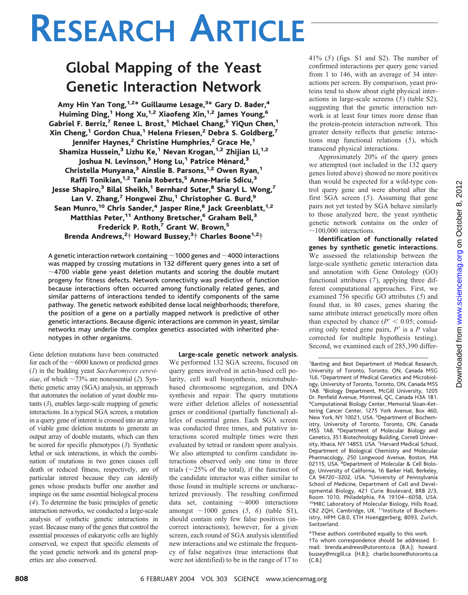# **RESEARCH ARTICLE**

# **Global Mapping of the Yeast Genetic Interaction Network**

Amy Hin Yan Tong,<sup>1,2</sup>\* Guillaume Lesage,<sup>3\*</sup> Gary D. Bader,<sup>4</sup> Huiming Ding,<sup>1</sup> Hong Xu,<sup>1,2</sup> Xiaofeng Xin,<sup>1,2</sup> James Young,<sup>6</sup> Gabriel F. Berriz,<sup>7</sup> Renee L. Brost,<sup>1</sup> Michael Chang,<sup>5</sup> YiQun Chen,<sup>1</sup> Xin Cheng,<sup>1</sup> Gordon Chua,<sup>1</sup> Helena Friesen,<sup>2</sup> Debra S. Goldberg,<sup>7</sup> Jennifer Haynes,<sup>2</sup> Christine Humphries,<sup>2</sup> Grace He,<sup>1</sup> Shamiza Hussein,<sup>3</sup> Lizhu Ke,<sup>1</sup> Nevan Krogan,<sup>1,2</sup> Zhijian Li,<sup>1,2</sup> Joshua N. Levinson,<sup>3</sup> Hong Lu,<sup>1</sup> Patrice Ménard,<sup>3</sup> Christella Munyana,<sup>3</sup> Ainslie B. Parsons,<sup>1,2</sup> Owen Ryan,<sup>1</sup> Raffi Tonikian,<sup>1,2</sup> Tania Roberts,<sup>5</sup> Anne-Marie Sdicu,<sup>3</sup> Jesse Shapiro,<sup>3</sup> Bilal Sheikh,<sup>1</sup> Bernhard Suter,<sup>8</sup> Sharyl L. Wong,<sup>7</sup> Lan V. Zhang,<sup>7</sup> Hongwei Zhu,<sup>1</sup> Christopher G. Burd,<sup>9</sup> Sean Munro,<sup>10</sup> Chris Sander,<sup>4</sup> Jasper Rine,<sup>8</sup> Jack Greenblatt,<sup>1,2</sup> Matthias Peter,<sup>11</sup> Anthony Bretscher,<sup>6</sup> Graham Bell,<sup>3</sup> Frederick P. Roth,<sup>7</sup> Grant W. Brown,<sup>5</sup> Brenda Andrews,<sup>2</sup>† Howard Bussey,<sup>3</sup>† Charles Boone<sup>1,2</sup>†

A genetic interaction network containing  $\sim$  1000 genes and  $\sim$  4000 interactions was mapped by crossing mutations in 132 different query genes into a set of  $\sim$ 4700 viable gene yeast deletion mutants and scoring the double mutant progeny for fitness defects. Network connectivity was predictive of function because interactions often occurred among functionally related genes, and similar patterns of interactions tended to identify components of the same pathway.The genetic network exhibited dense local neighborhoods; therefore, the position of a gene on a partially mapped network is predictive of other genetic interactions. Because digenic interactions are common in yeast, similar networks may underlie the complex genetics associated with inherited phenotypes in other organisms.

Gene deletion mutations have been constructed for each of the  $\sim$  6000 known or predicted genes (*1*) in the budding yeast *Saccharomyces cerevisiae*, of which  $\sim$  73% are nonessential (2). Synthetic genetic array (SGA) analysis, an approach that automates the isolation of yeast double mutants (*3*), enables large-scale mapping of genetic interactions. In a typical SGA screen, a mutation in a query gene of interest is crossed into an array of viable gene deletion mutants to generate an output array of double mutants, which can then be scored for specific phenotypes (*3*). Synthetic lethal or sick interactions, in which the combination of mutations in two genes causes cell death or reduced fitness, respectively, are of particular interest because they can identify genes whose products buffer one another and impinge on the same essential biological process (*4*). To determine the basic principles of genetic interaction networks, we conducted a large-scale analysis of synthetic genetic interactions in yeast. Because many of the genes that control the essential processes of eukaryotic cells are highly conserved, we expect that specific elements of the yeast genetic network and its general properties are also conserved.

**Large-scale genetic network analysis.** We performed 132 SGA screens, focused on query genes involved in actin-based cell polarity, cell wall biosynthesis, microtubulebased chromosome segregation, and DNA synthesis and repair. The query mutations were either deletion alleles of nonessential genes or conditional (partially functional) alleles of essential genes. Each SGA screen was conducted three times, and putative interactions scored multiple times were then evaluated by tetrad or random spore analysis. We also attempted to confirm candidate interactions observed only one time in three trials ( $\sim$ 25% of the total), if the function of the candidate interactor was either similar to those found in multiple screens or uncharacterized previously. The resulting confirmed data set, containing  $\sim$  4000 interactions amongst  $\sim$ 1000 genes (5, 6) (table S1), should contain only few false positives (incorrect interactions); however, for a given screen, each round of SGA analysis identified new interactions and we estimate the frequency of false negatives (true interactions that were not identified) to be in the range of 17 to 41% (*5*) (figs. S1 and S2). The number of confirmed interactions per query gene varied from 1 to 146, with an average of 34 interactions per screen. By comparison, yeast proteins tend to show about eight physical interactions in large-scale screens (*5*) (table S2), suggesting that the genetic interaction network is at least four times more dense than the protein-protein interaction network. This greater density reflects that genetic interactions map functional relations (*5*), which transcend physical interactions.

Approximately 20% of the query genes we attempted (not included in the 132 query genes listed above) showed no more positives than would be expected for a wild-type control query gene and were aborted after the first SGA screen (*5*). Assuming that gene pairs not yet tested by SGA behave similarly to those analyzed here, the yeast synthetic genetic network contains on the order of  $\sim$ 100,000 interactions.

**Identification of functionally related genes by synthetic genetic interactions.** We assessed the relationship between the large-scale synthetic genetic interaction data and annotation with Gene Ontology (GO) functional attributes (*7*), applying three different computational approaches. First, we examined 756 specific GO attributes (*5*) and found that, in 80 cases, genes sharing the same attribute interact genetically more often than expected by chance  $(P' < 0.05$ ; considering only tested gene pairs, P' is a P value corrected for multiple hypothesis testing). Second, we examined each of 285,390 differ-

1 Banting and Best Department of Medical Research, University of Toronto, Toronto, ON, Canada M5G 1L6. <sup>2</sup> Department of Medical Genetics and Microbiology, University of Toronto, Toronto, ON, Canada M5S 1A8. <sup>3</sup> Biology Department, McGill University, 1205 Dr. Penfield Avenue, Montreal, QC, Canada H3A 1B1. 4 Computational Biology Center, Memorial Sloan-Kettering Cancer Center, 1275 York Avenue, Box 460, New York, NY 10021, USA. <sup>5</sup>Department of Biochemistry, University of Toronto, Toronto, ON, Canada M5S 1A8. <sup>6</sup>Department of Molecular Biology and Genetics, 351 Biotechnology Building, Cornell University, Ithaca, NY 14853, USA. <sup>7</sup> Harvard Medical School, Department of Biological Chemistry and Molecular Pharmacology, 250 Longwood Avenue, Boston, MA 02115, USA. <sup>8</sup>Department of Molecular & Cell Biology, University of California, 16 Barker Hall, Berkeley, CA 94720-3202, USA. <sup>9</sup>University of Pennsylvania School of Medicine, Department of Cell and Developmental Biology, 421 Curie Boulevard, BRB 2/3, Room 1010, Philadelphia, PA 19104 – 6058, USA. 10MRC Laboratory of Molecular Biology, Hills Road, CB2 2QH, Cambridge, UK. <sup>11</sup>Institute of Biochemistry, HPM G8.0, ETH Hoenggerberg, 8093, Zurich, Switzerland.

\*These authors contributed equally to this work. †To whom correspondence should be addressed. Email: brenda.andrews@utoronto.ca (B.A.); howard. bussey@mcgill.ca (H.B.); charlie.boone@utoronto.ca (C.B.)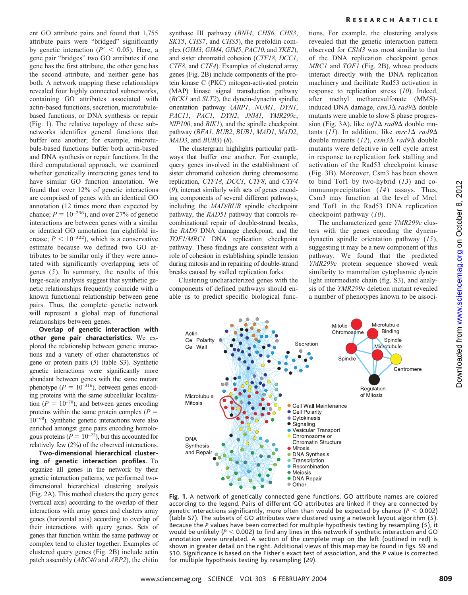ent GO attribute pairs and found that 1,755 attribute pairs were "bridged" significantly by genetic interaction ( $P' < 0.05$ ). Here, a gene pair "bridges" two GO attributes if one gene has the first attribute, the other gene has the second attribute, and neither gene has both. A network mapping these relationships revealed four highly connected subnetworks, containing GO attributes associated with actin-based functions, secretion, microtubulebased functions, or DNA synthesis or repair (Fig. 1). The relative topology of these subnetworks identifies general functions that buffer one another; for example, microtubule-based functions buffer both actin-based and DNA synthesis or repair functions. In the third computational approach, we examined whether genetically interacting genes tend to have similar GO function annotation. We found that over 12% of genetic interactions are comprised of genes with an identical GO annotation (12 times more than expected by chance;  $P = 10^{-296}$ ), and over 27% of genetic interactions are between genes with a similar or identical GO annotation (an eightfold increase; *P* 10–322), which is a conservative estimate because we defined two GO attributes to be similar only if they were annotated with significantly overlapping sets of genes (*5*). In summary, the results of this large-scale analysis suggest that synthetic genetic relationships frequently coincide with a known functional relationship between gene pairs. Thus, the complete genetic network will represent a global map of functional relationships between genes.

**Overlap of genetic interaction with other gene pair characteristics.** We explored the relationship between genetic interactions and a variety of other characteristics of gene or protein pairs (*5*) (table S3). Synthetic genetic interactions were significantly more abundant between genes with the same mutant phenotype ( $P = 10^{-316}$ ), between genes encoding proteins with the same subcellular localization ( $P = 10^{-70}$ ), and between genes encoding proteins within the same protein complex  $(P =$  $10^{-68}$ ). Synthetic genetic interactions were also enriched amongst gene pairs encoding homologous proteins ( $P = 10^{-22}$ ), but this accounted for relatively few (2%) of the observed interactions.

**Two-dimensional hierarchical clustering of genetic interaction profiles.** To organize all genes in the network by their genetic interaction patterns, we performed twodimensional hierarchical clustering analysis (Fig. 2A). This method clusters the query genes (vertical axis) according to the overlap of their interactions with array genes and clusters array genes (horizontal axis) according to overlap of their interactions with query genes. Sets of genes that function within the same pathway or complex tend to cluster together. Examples of clustered query genes (Fig. 2B) include actin patch assembly (*ARC40* and *ARP2*), the chitin

synthase III pathway (*BNI4*, *CHS6*, *CHS3*, *SKT5*, *CHS7*, and *CHS5*), the prefoldin complex (*GIM3*, *GIM4*, *GIM5*, *PAC10*, and *YKE2*), and sister chromatid cohesion (*CTF18*, *DCC1*, *CTF8*, and *CTF4*). Examples of clustered array genes (Fig. 2B) include components of the protein kinase C (PKC) mitogen-activated protein (MAP) kinase signal transduction pathway (*BCK1* and *SLT2*), the dynein-dynactin spindle orientation pathway (*ARP1*, *NUM1*, *DYN1*, *PAC11*, *PAC1*, *DYN2*, *JNM1*, *YMR299c*, *NIP100*, and *BIK1*), and the spindle checkpoint pathway (*BFA1*, *BUB2*, *BUB1*, *MAD1*, *MAD2*, *MAD3*, and *BUB3*) (*8*).

The clustergram highlights particular pathways that buffer one another. For example, query genes involved in the establishment of sister chromatid cohesion during chromosome replication, *CTF18*, *DCC1*, *CTF8*, and *CTF4* (*9*), interact similarly with sets of genes encoding components of several different pathways, including the *MAD/BUB* spindle checkpoint pathway, the *RAD51* pathway that controls recombinational repair of double-strand breaks, the *RAD9* DNA damage checkpoint, and the *TOF1*/*MRC1* DNA replication checkpoint pathway. These findings are consistent with a role of cohesion in establishing spindle tension during mitosis and in repairing of double-strand breaks caused by stalled replication forks.

Clustering uncharacterized genes with the components of defined pathways should enable us to predict specific biological func-



tions. For example, the clustering analysis revealed that the genetic interaction pattern observed for *CSM3* was most similar to that of the DNA replication checkpoint genes *MRC1* and *TOF1* (Fig. 2B), whose products interact directly with the DNA replication machinery and facilitate Rad53 activation in response to replication stress (*10*). Indeed, after methyl methanesulfonate (MMS) induced DNA damage, *csm3 rad9* double mutants were unable to slow S phase progression (Fig. 3A), like  $tof1\Delta$  *rad* $9\Delta$  double mutants (11). In addition, like  $mrc1\Delta$  rad9 $\Delta$ double mutants (12), *csm3*∆ *rad9*∆ double mutants were defective in cell cycle arrest in response to replication fork stalling and activation of the Rad53 checkpoint kinase (Fig. 3B). Moreover, Csm3 has been shown to bind Tof1 by two-hybrid (*13*) and coimmunoprecipitation (*14*) assays. Thus, Csm3 may function at the level of Mrc1 and Tof1 in the Rad53 DNA replication checkpoint pathway (*10*).

The uncharacterized gene *YMR299c* clusters with the genes encoding the dyneindynactin spindle orientation pathway (*15*), suggesting it may be a new component of this pathway. We found that the predicted *YMR299c* protein sequence showed weak similarity to mammalian cytoplasmic dynein light intermediate chain (fig. S3), and analysis of the *YMR299c* deletion mutant revealed a number of phenotypes known to be associ-



**Fig. 1.** A network of genetically connected gene functions. GO attribute names are colored according to the legend. Pairs of different GO attributes are linked if they are connected by genetic interactions significantly, more often than would be expected by chance  $(P < 0.002)$ (table S7). The subsets of GO attributes were clustered using a network layout algorithm (*5*). Because the *P* values have been corrected for multiple hypothesis testing by resampling (*5*), it would be unlikely  $(P < 0.002)$  to find any lines in this network if synthetic interaction and GO annotation were unrelated. A section of the complete map on the left (outlined in red) is shown in greater detail on the right. Additional views of this map may be found in figs. S9 and S10. Significance is based on the Fisher's exact test of association, and the *P* value is corrected for multiple hypothesis testing by resampling (*29*).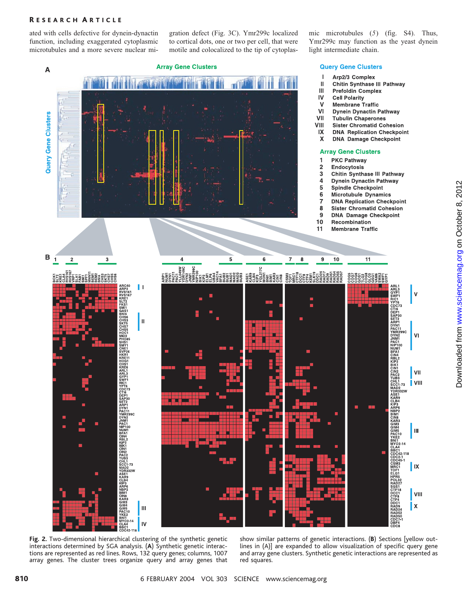# R ESEARCH A RTICLE

ated with cells defective for dynein-dynactin function, including exaggerated cytoplasmic microtubules and a more severe nuclear migration defect (Fig. 3C). Ymr299c localized to cortical dots, one or two per cell, that were motile and colocalized to the tip of cytoplasmic microtubules (*5*) (fig. S4). Thus, Ymr299c may function as the yeast dynein light intermediate chain.

### **Array Gene Clusters**



# **Query Gene Clusters**

- $\mathbf{I}$ Arp2/3 Complex
- **Chitin Synthase III Pathway** Ш
- Ш **Prefoldin Complex**
- IV **Cell Polarity**
- **Membrane Traffic**  $\mathbf v$
- VI **Dynein Dynactin Pathway**
- VII **Tubulin Chaperones**
- VIII **Sister Chromatid Cohesion**
- **DNA Replication Checkpoint** IX
- $\pmb{\times}$ **DNA Damage Checkpoint**

#### **Array Gene Clusters**

**PKC Pathway** 

1

- Endocytosis
- $\overline{2}$ 3 Chitin Synthase III Pathway
- Dynein Dynactin Pathway  $\overline{\mathbf{4}}$
- 5 **Spindle Checkpoint**
- $6$ **Microtubule Dynamics**
- **DNA Replication Checkpoint**  $\overline{7}$
- 8 **Sister Chromatid Cohesion**
- $\overline{9}$ **DNA Damage Checkpoint**
- $10$ Recombination
- $11$ **Membrane Traffic**



**Fig. 2.** Two-dimensional hierarchical clustering of the synthetic genetic interactions determined by SGA analysis. (**A**) Synthetic genetic interactions are represented as red lines. Rows, 132 query genes; columns, 1007 array genes. The cluster trees organize query and array genes that

show similar patterns of genetic interactions. (**B**) Sections [yellow outlines in (A)] are expanded to allow visualization of specific query gene and array gene clusters. Synthetic genetic interactions are represented as red squares.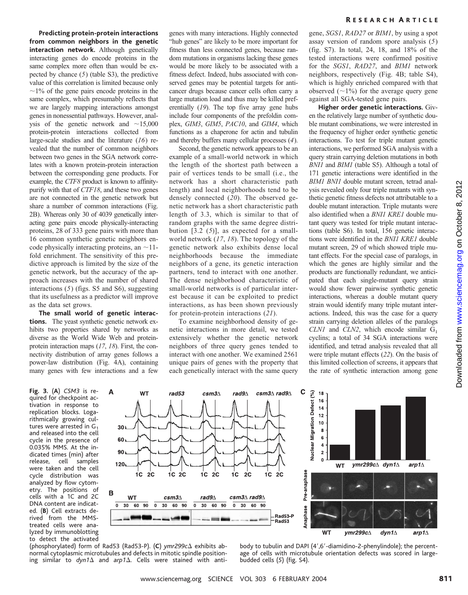**Predicting protein-protein interactions from common neighbors in the genetic interaction network.** Although genetically interacting genes do encode proteins in the same complex more often than would be expected by chance (*5*) (table S3), the predictive value of this correlation is limited because only  $\sim$ 1% of the gene pairs encode proteins in the same complex, which presumably reflects that we are largely mapping interactions amongst genes in nonessential pathways. However, analysis of the genetic network and  $\sim$ 15,000 protein-protein interactions collected from large-scale studies and the literature (*16*) revealed that the number of common neighbors between two genes in the SGA network correlates with a known protein-protein interaction between the corresponding gene products. For example, the *CTF8* product is known to affinitypurify with that of *CTF18*, and these two genes are not connected in the genetic network but share a number of common interactions (Fig. 2B). Whereas only 30 of 4039 genetically interacting gene pairs encode physically-interacting proteins, 28 of 333 gene pairs with more than 16 common synthetic genetic neighbors encode physically interacting proteins, an  $\sim$ 11fold enrichment. The sensitivity of this predictive approach is limited by the size of the genetic network, but the accuracy of the approach increases with the number of shared interactions (*5*) (figs. S5 and S6), suggesting that its usefulness as a predictor will improve as the data set grows.

**The small world of genetic interactions.** The yeast synthetic genetic network exhibits two properties shared by networks as diverse as the World Wide Web and proteinprotein interaction maps (*17*, *18*). First, the connectivity distribution of array genes follows a power-law distribution (Fig. 4A), containing many genes with few interactions and a few

**Fig. 3.** (**A**) *CSM3* is required for checkpoint activation in response to replication blocks. Logarithmically growing cultures were arrested in  $G_1$ and released into the cell cycle in the presence of 0.035% MMS. At the indicated times (min) after release, cell samples were taken and the cell cycle distribution was analyzed by flow cytometry. The positions of cells with a 1C and 2C DNA content are indicated. (**B**) Cell extracts derived from the MMStreated cells were analyzed by immunoblotting to detect the activated

genes with many interactions. Highly connected "hub genes" are likely to be more important for fitness than less connected genes, because random mutations in organisms lacking these genes would be more likely to be associated with a fitness defect. Indeed, hubs associated with conserved genes may be potential targets for anticancer drugs because cancer cells often carry a large mutation load and thus may be killed preferentially (*19*). The top five array gene hubs include four components of the prefoldin complex, *GIM3*, *GIM5*, *PAC10*, and *GIM4*, which functions as a chaperone for actin and tubulin and thereby buffers many cellular processes (*4*).

Second, the genetic network appears to be an example of a small-world network in which the length of the shortest path between a pair of vertices tends to be small (i.e., the network has a short characteristic path length) and local neighborhoods tend to be densely connected (*20*). The observed genetic network has a short characteristic path length of 3.3, which is similar to that of random graphs with the same degree distribution [3.2 (*5*)], as expected for a smallworld network (*17*, *18*). The topology of the genetic network also exhibits dense local neighborhoods because the immediate neighbors of a gene, its genetic interaction partners, tend to interact with one another. The dense neighborhood characteristic of small-world networks is of particular interest because it can be exploited to predict interactions, as has been shown previously for protein-protein interactions (*21*).

To examine neighborhood density of genetic interactions in more detail, we tested extensively whether the genetic network neighbors of three query genes tended to interact with one another. We examined 2561 unique pairs of genes with the property that each genetically interact with the same query gene, *SGS1*, *RAD27* or *BIM1*, by using a spot assay version of random spore analysis (*5*) (fig. S7). In total, 24, 18, and 18% of the tested interactions were confirmed positive for the *SGS1*, *RAD27*, and *BIM1* network neighbors, respectively (Fig. 4B; table S4), which is highly enriched compared with that observed  $(\sim 1\%)$  for the average query gene against all SGA-tested gene pairs.

**Higher order genetic interactions.** Given the relatively large number of synthetic double mutant combinations, we were interested in the frequency of higher order synthetic genetic interactions. To test for triple mutant genetic interactions, we performed SGA analysis with a query strain carrying deletion mutations in both *BNI1* and *BIM1* (table S5). Although a total of 171 genetic interactions were identified in the *BIM1 BNI1* double mutant screen, tetrad analysis revealed only four triple mutants with synthetic genetic fitness defects not attributable to a double mutant interaction. Triple mutants were also identified when a *BNI1 KRE1* double mutant query was tested for triple mutant interactions (table S6). In total, 156 genetic interactions were identified in the *BNI1 KRE1* double mutant screen, 29 of which showed triple mutant effects. For the special case of paralogs, in which the genes are highly similar and the products are functionally redundant, we anticipated that each single-mutant query strain would show fewer pairwise synthetic genetic interactions, whereas a double mutant query strain would identify many triple mutant interactions. Indeed, this was the case for a query strain carrying deletion alleles of the paralogs *CLN1* and *CLN2*, which encode similar  $G_1$ cyclins; a total of 34 SGA interactions were identified, and tetrad analysis revealed that all were triple mutant effects (*22*). On the basis of this limited collection of screens, it appears that the rate of synthetic interaction among gene



(phosphorylated) form of Rad53 (Rad53-P). (**C**) *ymr299c* exhibits abnormal cytoplasmic microtubules and defects in mitotic spindle positioning similar to  $dyn1\Delta$  and  $arp1\Delta$ . Cells were stained with anti-

body to tubulin and DAPI (4',6'-diamidino-2-phenylindole); the percentage of cells with microtubule orientation defects was scored in largebudded cells (*5*) (fig. S4).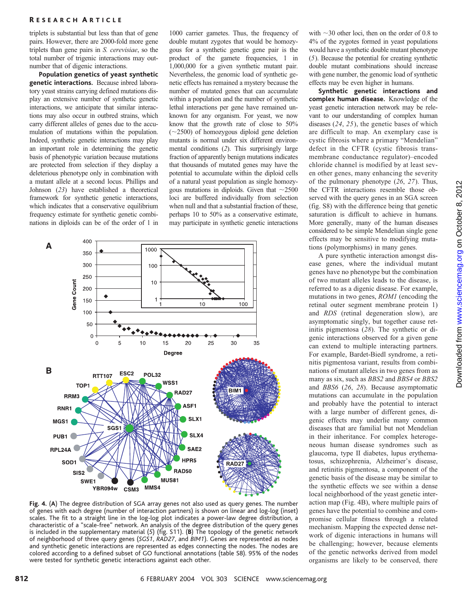# R ESEARCH A RTICLE

triplets is substantial but less than that of gene pairs. However, there are 2000-fold more gene triplets than gene pairs in *S. cerevisiae*, so the total number of trigenic interactions may outnumber that of digenic interactions.

**Population genetics of yeast synthetic genetic interactions.** Because inbred laboratory yeast strains carrying defined mutations display an extensive number of synthetic genetic interactions, we anticipate that similar interactions may also occur in outbred strains, which carry different alleles of genes due to the accumulation of mutations within the population. Indeed, synthetic genetic interactions may play an important role in determining the genetic basis of phenotypic variation because mutations are protected from selection if they display a deleterious phenotype only in combination with a mutant allele at a second locus. Phillips and Johnson (*23*) have established a theoretical framework for synthetic genetic interactions, which indicates that a conservative equilibrium frequency estimate for synthetic genetic combinations in diploids can be of the order of 1 in

1000 carrier gametes. Thus, the frequency of double mutant zygotes that would be homozygous for a synthetic genetic gene pair is the product of the gamete frequencies, 1 in 1,000,000 for a given synthetic mutant pair. Nevertheless, the genomic load of synthetic genetic effects has remained a mystery because the number of mutated genes that can accumulate within a population and the number of synthetic lethal interactions per gene have remained unknown for any organism. For yeast, we now know that the growth rate of close to 50%  $(\sim 2500)$  of homozygous diploid gene deletion mutants is normal under six different environmental conditions (*2*). This surprisingly large fraction of apparently benign mutations indicates that thousands of mutated genes may have the potential to accumulate within the diploid cells of a natural yeast population as single homozygous mutations in diploids. Given that  $\sim$ 2500 loci are buffered individually from selection when null and that a substantial fraction of these, perhaps 10 to 50% as a conservative estimate, may participate in synthetic genetic interactions



**Fig. 4.** (**A**) The degree distribution of SGA array genes not also used as query genes. The number of genes with each degree (number of interaction partners) is shown on linear and log-log (inset) scales. The fit to a straight line in the log-log plot indicates a power-law degree distribution, a characteristic of a "scale-free" network. An analysis of the degree distribution of the query genes is included in the supplementary material (*5*) (fig. S11). (**B**) The topology of the genetic network of neighborhood of three query genes (*SGS1*, *RAD27*, and *BIM1*). Genes are represented as nodes and synthetic genetic interactions are represented as edges connecting the nodes. The nodes are colored according to a defined subset of GO functional annotations (table S8). 95% of the nodes were tested for synthetic genetic interactions against each other.

with  $\sim$ 30 other loci, then on the order of 0.8 to 4% of the zygotes formed in yeast populations would have a synthetic double mutant phenotype (*5*). Because the potential for creating synthetic double mutant combinations should increase with gene number, the genomic load of synthetic effects may be even higher in humans.

**Synthetic genetic interactions and complex human disease.** Knowledge of the yeast genetic interaction network may be relevant to our understanding of complex human diseases (*24*, *25*), the genetic bases of which are difficult to map. An exemplary case is cystic fibrosis where a primary "Mendelian" defect in the CFTR (cystic fibrosis transmembrane conductance regulator)–encoded chloride channel is modified by at least seven other genes, many enhancing the severity of the pulmonary phenotype (*26*, *27*). Thus, the CFTR interactions resemble those observed with the query genes in an SGA screen (fig. S8) with the difference being that genetic saturation is difficult to achieve in humans. More generally, many of the human diseases considered to be simple Mendelian single gene effects may be sensitive to modifying mutations (polymorphisms) in many genes.

A pure synthetic interaction amongst disease genes, where the individual mutant genes have no phenotype but the combination of two mutant alleles leads to the disease, is referred to as a digenic disease. For example, mutations in two genes, *ROM1* (encoding the retinal outer segment membrane protein 1) and *RDS* (retinal degeneration slow), are asymptomatic singly, but together cause retinitis pigmentosa (*28*). The synthetic or digenic interactions observed for a given gene can extend to multiple interacting partners. For example, Bardet-Biedl syndrome, a retinitis pigmentosa variant, results from combinations of mutant alleles in two genes from as many as six, such as *BBS2* and *BBS4* or *BBS2* and *BBS6* (*26*, *28*). Because asymptomatic mutations can accumulate in the population and probably have the potential to interact with a large number of different genes, digenic effects may underlie many common diseases that are familial but not Mendelian in their inheritance. For complex heterogeneous human disease syndromes such as glaucoma, type II diabetes, lupus erythematosus, schizophrenia, Alzheimer's disease, and retinitis pigmentosa, a component of the genetic basis of the disease may be similar to the synthetic effects we see within a dense local neighborhood of the yeast genetic interaction map (Fig. 4B), where multiple pairs of genes have the potential to combine and compromise cellular fitness through a related mechanism. Mapping the expected dense network of digenic interactions in humans will be challenging; however, because elements of the genetic networks derived from model organisms are likely to be conserved, there